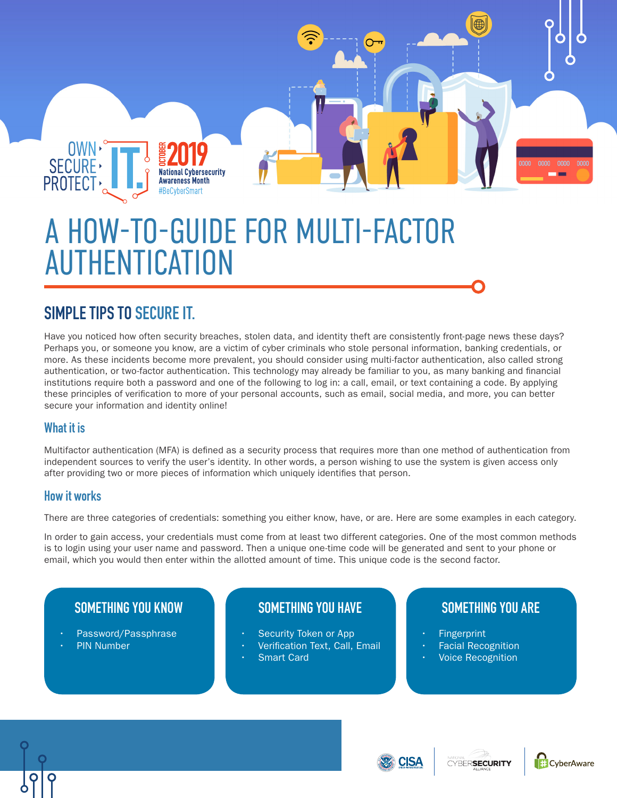

# A HOW-TO-GUIDE FOR MULTI-FACTOR AUTHENTICATION

# **SIMPLE TIPS TO SECURE IT.**

Have you noticed how often security breaches, stolen data, and identity theft are consistently front-page news these days? Perhaps you, or someone you know, are a victim of cyber criminals who stole personal information, banking credentials, or more. As these incidents become more prevalent, you should consider using multi-factor authentication, also called strong authentication, or two-factor authentication. This technology may already be familiar to you, as many banking and financial institutions require both a password and one of the following to log in: a call, email, or text containing a code. By applying these principles of verification to more of your personal accounts, such as email, social media, and more, you can better secure your information and identity online!

### **What it is**

Multifactor authentication (MFA) is defined as a security process that requires more than one method of authentication from independent sources to verify the user's identity. In other words, a person wishing to use the system is given access only after providing two or more pieces of information which uniquely identifies that person.

#### **How it works**

There are three categories of credentials: something you either know, have, or are. Here are some examples in each category.

In order to gain access, your credentials must come from at least two different categories. One of the most common methods is to login using your user name and password. Then a unique one-time code will be generated and sent to your phone or email, which you would then enter within the allotted amount of time. This unique code is the second factor.

## **SOMETHING YOU KNOW**

- Password/Passphrase
- **PIN Number**

# **SOMETHING YOU HAVE**

- Security Token or App
- Verification Text, Call, Email
- **Smart Card**

# **SOMETHING YOU ARE**

- **Fingerprint**
- Facial Recognition
- Voice Recognition